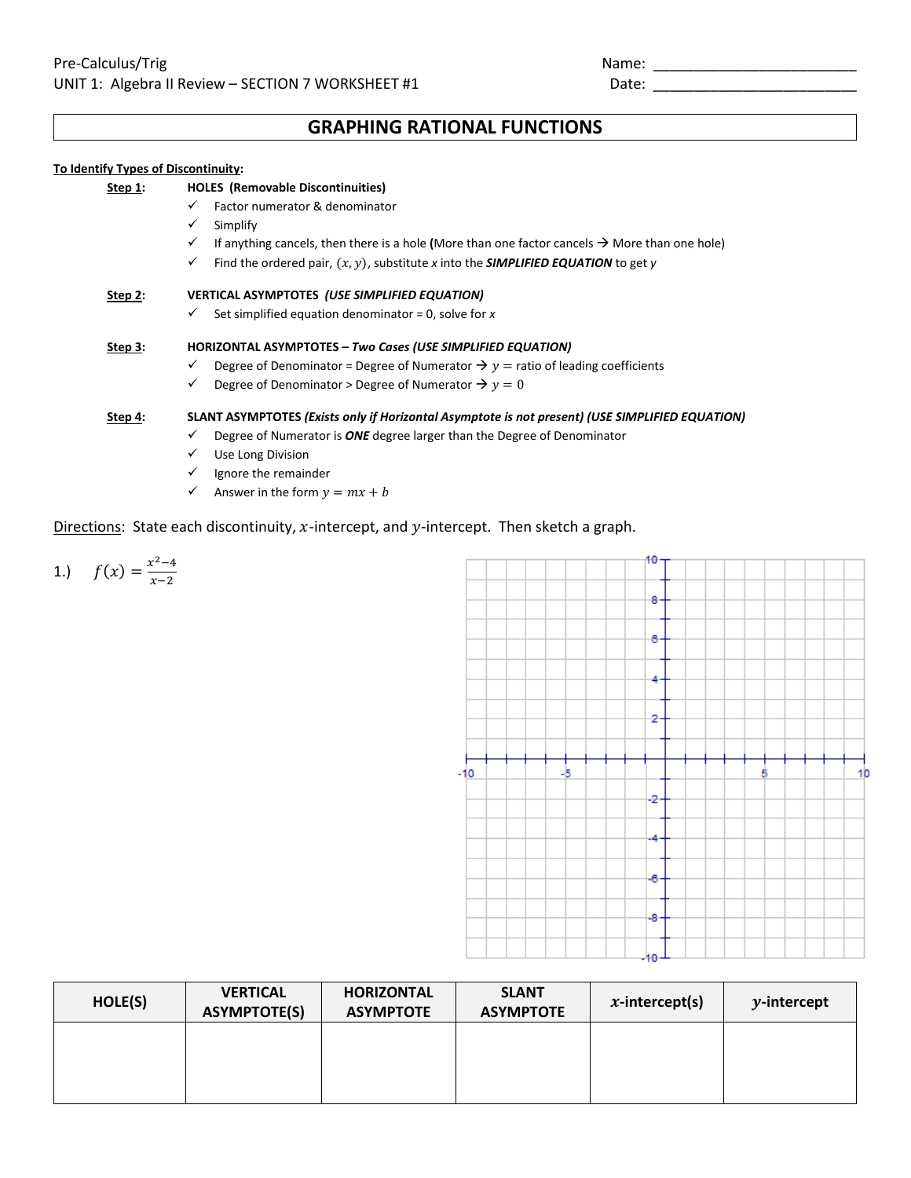## **GRAPHING RATIONAL FUNCTIONS**

## **To Identify Types of Discontinuity:**

| Step 1: | <b>HOLES</b> (Removable Discontinuities)                                                                       |
|---------|----------------------------------------------------------------------------------------------------------------|
|         | Factor numerator & denominator<br>$\checkmark$                                                                 |
|         | $\checkmark$<br>Simplify                                                                                       |
|         | If anything cancels, then there is a hole (More than one factor cancels $\rightarrow$ More than one hole)<br>✓ |
|         | Find the ordered pair, $(x, y)$ , substitute x into the <b>SIMPLIFIED EQUATION</b> to get y<br>✓               |
| Step 2: | VERTICAL ASYMPTOTES (USE SIMPLIFIED EQUATION)                                                                  |
|         | Set simplified equation denominator = 0, solve for $x$<br>✓                                                    |
| Step 3: | <b>HORIZONTAL ASYMPTOTES - Two Cases (USE SIMPLIFIED EQUATION)</b>                                             |
|         | Degree of Denominator = Degree of Numerator $\rightarrow y$ = ratio of leading coefficients<br>✓               |
|         | Degree of Denominator > Degree of Numerator $\rightarrow y = 0$<br>$\checkmark$                                |
| Step 4: | SLANT ASYMPTOTES (Exists only if Horizontal Asymptote is not present) (USE SIMPLIFIED EQUATION)                |
|         | Degree of Numerator is ONE degree larger than the Degree of Denominator<br>✓                                   |
|         | Use Long Division<br>✓                                                                                         |
|         | Ignore the remainder                                                                                           |

Answer in the form  $y = mx + b$ 

## Directions: State each discontinuity,  $x$ -intercept, and  $y$ -intercept. Then sketch a graph.

1.) 
$$
f(x) = \frac{x^2 - 4}{x - 2}
$$



| HOLE(S) | <b>VERTICAL</b><br><b>ASYMPTOTE(S)</b> | <b>HORIZONTAL</b><br><b>ASYMPTOTE</b> | <b>SLANT</b><br><b>ASYMPTOTE</b> | $x$ -intercept(s) | $y$ -intercept |
|---------|----------------------------------------|---------------------------------------|----------------------------------|-------------------|----------------|
|         |                                        |                                       |                                  |                   |                |
|         |                                        |                                       |                                  |                   |                |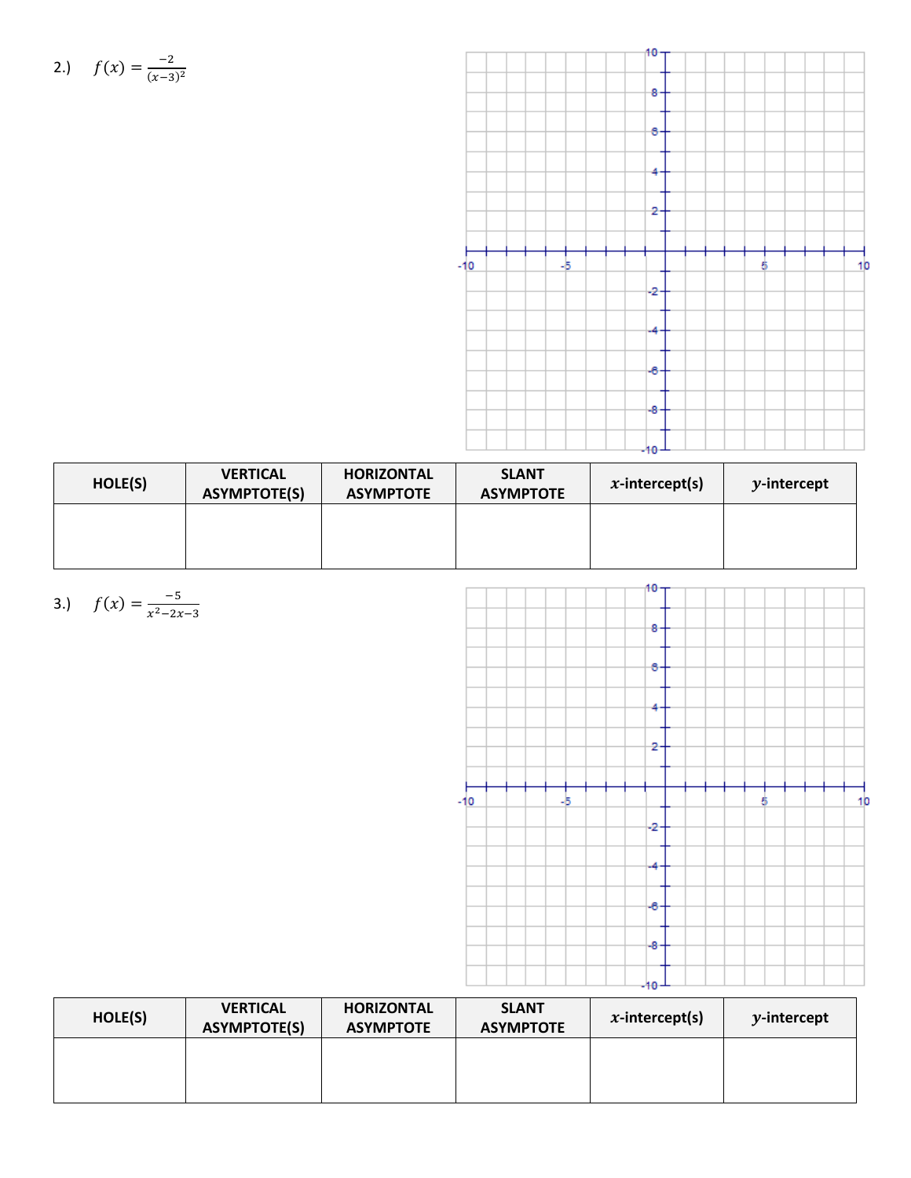2.) 
$$
f(x) = \frac{-2}{(x-3)^2}
$$



| HOLE(S) | <b>VERTICAL</b><br><b>ASYMPTOTE(S)</b> | <b>HORIZONTAL</b><br><b>ASYMPTOTE</b> | <b>SLANT</b><br><b>ASYMPTOTE</b> | $x$ -intercept(s) | $y$ -intercept |
|---------|----------------------------------------|---------------------------------------|----------------------------------|-------------------|----------------|
|         |                                        |                                       |                                  |                   |                |
|         |                                        |                                       |                                  |                   |                |



3.) 
$$
f(x) = \frac{-5}{x^2 - 2x - 3}
$$

| HOLE(S) | <b>VERTICAL</b><br><b>ASYMPTOTE(S)</b> | <b>HORIZONTAL</b><br><b>ASYMPTOTE</b> | <b>SLANT</b><br><b>ASYMPTOTE</b> | $x$ -intercept(s) | $y$ -intercept |
|---------|----------------------------------------|---------------------------------------|----------------------------------|-------------------|----------------|
|         |                                        |                                       |                                  |                   |                |
|         |                                        |                                       |                                  |                   |                |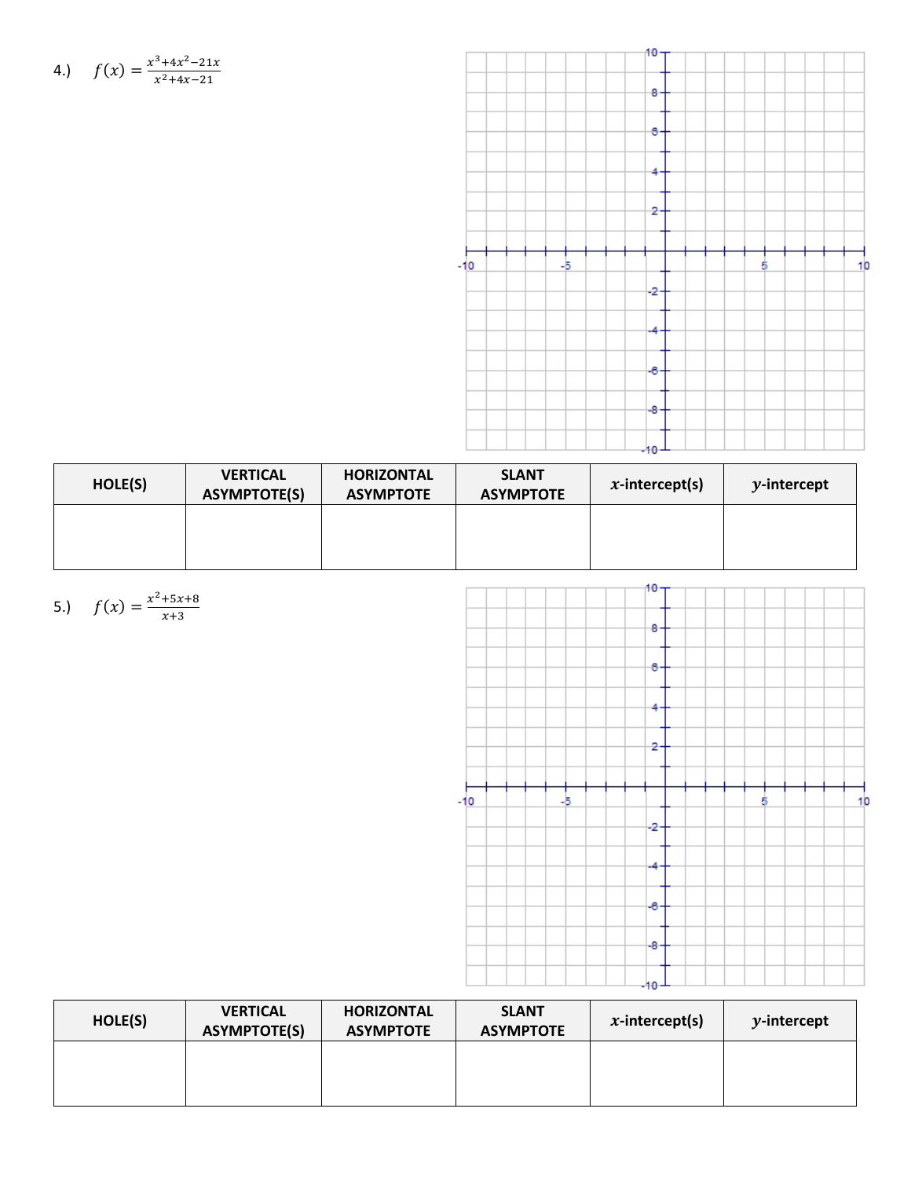4.) 
$$
f(x) = \frac{x^3 + 4x^2 - 21x}{x^2 + 4x - 21}
$$



| HOLE(S) | <b>VERTICAL</b><br><b>ASYMPTOTE(S)</b> | <b>HORIZONTAL</b><br><b>ASYMPTOTE</b> | <b>SLANT</b><br><b>ASYMPTOTE</b> | $x$ -intercept(s) | $y$ -intercept |
|---------|----------------------------------------|---------------------------------------|----------------------------------|-------------------|----------------|
|         |                                        |                                       |                                  |                   |                |
|         |                                        |                                       |                                  |                   |                |



| HOLE(S) | <b>VERTICAL</b><br><b>ASYMPTOTE(S)</b> | <b>HORIZONTAL</b><br><b>ASYMPTOTE</b> | <b>SLANT</b><br><b>ASYMPTOTE</b> | $x$ -intercept(s) | $y$ -intercept |
|---------|----------------------------------------|---------------------------------------|----------------------------------|-------------------|----------------|
|         |                                        |                                       |                                  |                   |                |
|         |                                        |                                       |                                  |                   |                |

5.) 
$$
f(x) = \frac{x^2 + 5x + 8}{x + 3}
$$